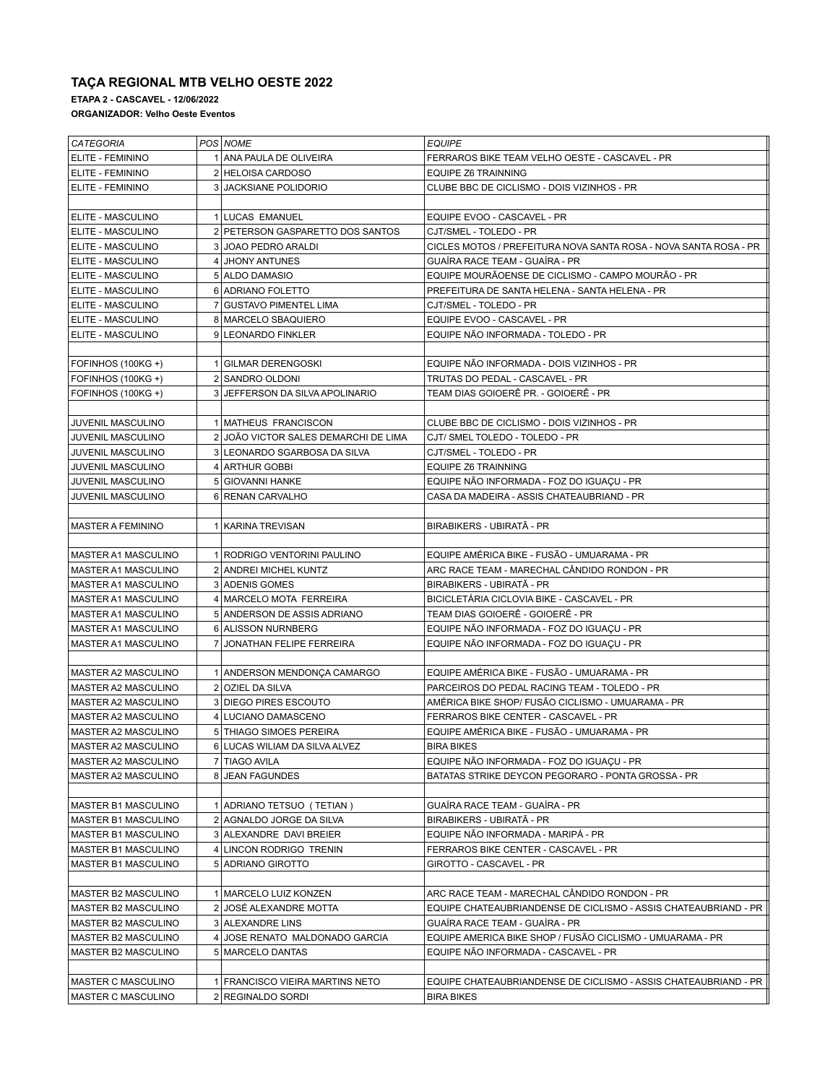## **TAÇA REGIONAL MTB VELHO OESTE 2022**

**ETAPA 2 - CASCAVEL - 12/06/2022**

**ORGANIZADOR: Velho Oeste Eventos**

| <b>CATEGORIA</b>           | POS NOME                             | <b>EQUIPE</b>                                                    |
|----------------------------|--------------------------------------|------------------------------------------------------------------|
| <b>ELITE - FEMININO</b>    | 1 ANA PAULA DE OLIVEIRA              | FERRAROS BIKE TEAM VELHO OESTE - CASCAVEL - PR                   |
| ELITE - FEMININO           | 2 HELOISA CARDOSO                    | <b>EQUIPE Z6 TRAINNING</b>                                       |
| <b>ELITE - FEMININO</b>    | 3 JACKSIANE POLIDORIO                | CLUBE BBC DE CICLISMO - DOIS VIZINHOS - PR                       |
|                            |                                      |                                                                  |
| <b>ELITE - MASCULINO</b>   | 1 LUCAS EMANUEL                      | EQUIPE EVOO - CASCAVEL - PR                                      |
| <b>ELITE - MASCULINO</b>   | 2 PETERSON GASPARETTO DOS SANTOS     | CJT/SMEL - TOLEDO - PR                                           |
| <b>ELITE - MASCULINO</b>   | 3 JOAO PEDRO ARALDI                  | CICLES MOTOS / PREFEITURA NOVA SANTA ROSA - NOVA SANTA ROSA - PR |
| <b>ELITE - MASCULINO</b>   | 4 JHONY ANTUNES                      | GUAÍRA RACE TEAM - GUAÍRA - PR                                   |
| <b>ELITE - MASCULINO</b>   | 5 ALDO DAMASIO                       | EQUIPE MOURÃOENSE DE CICLISMO - CAMPO MOURÃO - PR                |
| <b>ELITE - MASCULINO</b>   | 6 ADRIANO FOLETTO                    | PREFEITURA DE SANTA HELENA - SANTA HELENA - PR                   |
| <b>ELITE - MASCULINO</b>   | 7 GUSTAVO PIMENTEL LIMA              | CJT/SMEL - TOLEDO - PR                                           |
| <b>ELITE - MASCULINO</b>   | 8 MARCELO SBAQUIERO                  | EQUIPE EVOO - CASCAVEL - PR                                      |
| <b>ELITE - MASCULINO</b>   | 9 LEONARDO FINKLER                   | EQUIPE NÃO INFORMADA - TOLEDO - PR                               |
|                            |                                      |                                                                  |
| FOFINHOS (100KG +)         | 1 GILMAR DERENGOSKI                  | EQUIPE NÃO INFORMADA - DOIS VIZINHOS - PR                        |
| FOFINHOS (100KG+)          | 2 SANDRO OLDONI                      | TRUTAS DO PEDAL - CASCAVEL - PR                                  |
| FOFINHOS (100KG+)          | 3 JEFFERSON DA SILVA APOLINARIO      | TEAM DIAS GOIOERÊ PR. - GOIOERÊ - PR                             |
|                            |                                      |                                                                  |
| JUVENIL MASCULINO          | 1 MATHEUS FRANCISCON                 | CLUBE BBC DE CICLISMO - DOIS VIZINHOS - PR                       |
| <b>JUVENIL MASCULINO</b>   | 2 JOÃO VICTOR SALES DEMARCHI DE LIMA | CJT/ SMEL TOLEDO - TOLEDO - PR                                   |
| <b>JUVENIL MASCULINO</b>   | 3 LEONARDO SGARBOSA DA SILVA         | CJT/SMEL - TOLEDO - PR                                           |
|                            |                                      |                                                                  |
| <b>JUVENIL MASCULINO</b>   | 4 ARTHUR GOBBI                       | <b>EQUIPE Z6 TRAINNING</b>                                       |
| <b>JUVENIL MASCULINO</b>   | 5 GIOVANNI HANKE                     | EQUIPE NÃO INFORMADA - FOZ DO IGUAÇU - PR                        |
| JUVENIL MASCULINO          | 6 RENAN CARVALHO                     | CASA DA MADEIRA - ASSIS CHATEAUBRIAND - PR                       |
|                            |                                      |                                                                  |
| <b>MASTER A FEMININO</b>   | 1   KARINA TREVISAN                  | BIRABIKERS - UBIRATÃ - PR                                        |
|                            |                                      |                                                                  |
| MASTER A1 MASCULINO        | 1 RODRIGO VENTORINI PAULINO          | EQUIPE AMÉRICA BIKE - FUSÃO - UMUARAMA - PR                      |
| <b>MASTER A1 MASCULINO</b> | 2 ANDREI MICHEL KUNTZ                | ARC RACE TEAM - MARECHAL CÂNDIDO RONDON - PR                     |
| <b>MASTER A1 MASCULINO</b> | 3 ADENIS GOMES                       | BIRABIKERS - UBIRATÃ - PR                                        |
| MASTER A1 MASCULINO        | 4 MARCELO MOTA FERREIRA              | BICICLETÁRIA CICLOVIA BIKE - CASCAVEL - PR                       |
| <b>MASTER A1 MASCULINO</b> | 5 ANDERSON DE ASSIS ADRIANO          | TEAM DIAS GOIOERÊ - GOIOERÊ - PR                                 |
| <b>MASTER A1 MASCULINO</b> | 6 ALISSON NURNBERG                   | EQUIPE NÃO INFORMADA - FOZ DO IGUAÇU - PR                        |
| MASTER A1 MASCULINO        | 7 JONATHAN FELIPE FERREIRA           | EQUIPE NÃO INFORMADA - FOZ DO IGUAÇU - PR                        |
|                            |                                      |                                                                  |
| IMASTER A2 MASCULINO       | 1 ANDERSON MENDONÇA CAMARGO          | EQUIPE AMÉRICA BIKE - FUSÃO - UMUARAMA - PR                      |
| MASTER A2 MASCULINO        | 2 OZIEL DA SILVA                     | PARCEIROS DO PEDAL RACING TEAM - TOLEDO - PR                     |
| MASTER A2 MASCULINO        | 3 DIEGO PIRES ESCOUTO                | AMÉRICA BIKE SHOP/ FUSÃO CICLISMO - UMUARAMA - PR                |
| <b>MASTER A2 MASCULINO</b> | 4 LUCIANO DAMASCENO                  | FERRAROS BIKE CENTER - CASCAVEL - PR                             |
| <b>MASTER A2 MASCULINO</b> | 5 THIAGO SIMOES PEREIRA              | EQUIPE AMÉRICA BIKE - FUSÃO - UMUARAMA - PR                      |
| MASTER A2 MASCULINO        | 6 LUCAS WILIAM DA SILVA ALVEZ        | <b>BIRA BIKES</b>                                                |
| <b>MASTER A2 MASCULINO</b> | 7 TIAGO AVILA                        | EQUIPE NÃO INFORMADA - FOZ DO IGUAÇU - PR                        |
| MASTER A2 MASCULINO        | 8 JEAN FAGUNDES                      | BATATAS STRIKE DEYCON PEGORARO - PONTA GROSSA - PR               |
|                            |                                      |                                                                  |
| MASTER B1 MASCULINO        | 1 ADRIANO TETSUO (TETIAN)            | GUAÍRA RACE TEAM - GUAÍRA - PR                                   |
| <b>MASTER B1 MASCULINO</b> | 2 AGNALDO JORGE DA SILVA             | BIRABIKERS - UBIRATÃ - PR                                        |
| <b>MASTER B1 MASCULINO</b> | 3 ALEXANDRE DAVI BREIER              | EQUIPE NÃO INFORMADA - MARIPÁ - PR                               |
| MASTER B1 MASCULINO        | 4 LINCON RODRIGO TRENIN              | FERRAROS BIKE CENTER - CASCAVEL - PR                             |
| MASTER B1 MASCULINO        | 5 ADRIANO GIROTTO                    | GIROTTO - CASCAVEL - PR                                          |
|                            |                                      |                                                                  |
| <b>MASTER B2 MASCULINO</b> | 1 MARCELO LUIZ KONZEN                | ARC RACE TEAM - MARECHAL CÂNDIDO RONDON - PR                     |
| <b>MASTER B2 MASCULINO</b> | 2 JOSÉ ALEXANDRE MOTTA               | EQUIPE CHATEAUBRIANDENSE DE CICLISMO - ASSIS CHATEAUBRIAND - PR  |
| MASTER B2 MASCULINO        | 3 ALEXANDRE LINS                     | GUAÍRA RACE TEAM - GUAÍRA - PR                                   |
| MASTER B2 MASCULINO        | 4 JOSE RENATO MALDONADO GARCIA       | EQUIPE AMERICA BIKE SHOP / FUSÃO CICLISMO - UMUARAMA - PR        |
| MASTER B2 MASCULINO        | 5 MARCELO DANTAS                     | EQUIPE NÃO INFORMADA - CASCAVEL - PR                             |
|                            |                                      |                                                                  |
| <b>MASTER C MASCULINO</b>  | 1 FRANCISCO VIEIRA MARTINS NETO      | EQUIPE CHATEAUBRIANDENSE DE CICLISMO - ASSIS CHATEAUBRIAND - PR  |
| <b>MASTER C MASCULINO</b>  | 2 REGINALDO SORDI                    | <b>BIRA BIKES</b>                                                |